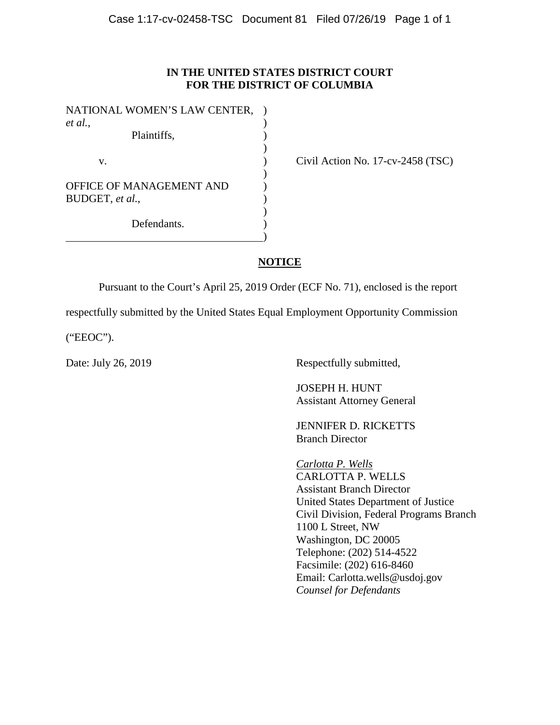## **IN THE UNITED STATES DISTRICT COURT FOR THE DISTRICT OF COLUMBIA**

| NATIONAL WOMEN'S LAW CENTER, |  |
|------------------------------|--|
| et al.,                      |  |
| Plaintiffs,                  |  |
|                              |  |
| $V_{-}$                      |  |
|                              |  |
| OFFICE OF MANAGEMENT AND     |  |
| BUDGET, et al.,              |  |
|                              |  |
| Defendants.                  |  |
|                              |  |

Civil Action No.  $17$ -cv-2458 (TSC)

# **NOTICE**

Pursuant to the Court's April 25, 2019 Order (ECF No. 71), enclosed is the report

respectfully submitted by the United States Equal Employment Opportunity Commission

("EEOC").

Date: July 26, 2019 Respectfully submitted,

JOSEPH H. HUNT Assistant Attorney General

JENNIFER D. RICKETTS Branch Director

*Carlotta P. Wells* CARLOTTA P. WELLS Assistant Branch Director United States Department of Justice Civil Division, Federal Programs Branch 1100 L Street, NW Washington, DC 20005 Telephone: (202) 514-4522 Facsimile: (202) 616-8460 Email: Carlotta.wells@usdoj.gov *Counsel for Defendants*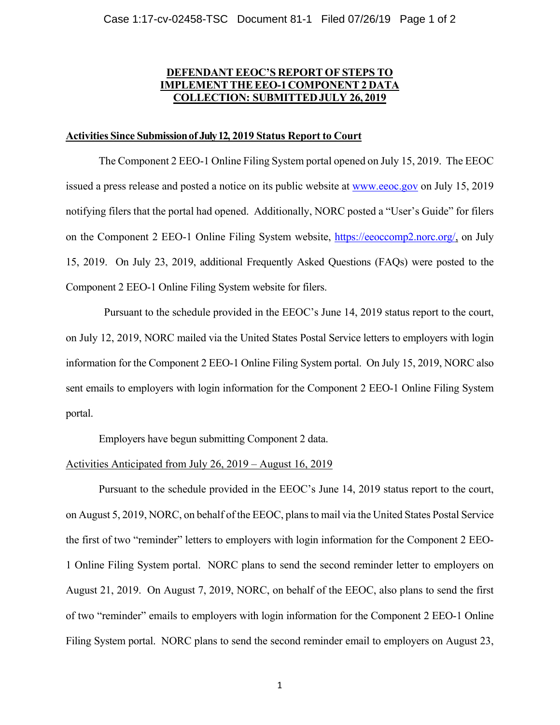# **DEFENDANT EEOC'S REPORT OF STEPS TO IMPLEMENT THE EEO-1 COMPONENT 2 DATA COLLECTION: SUBMITTED JULY 26, 2019**

### **Activities Since Submission of July 12, 2019 Status Report to Court**

The Component 2 EEO-1 Online Filing System portal opened on July 15, 2019. The EEOC issued a press release and posted a notice on its public website at www.eeoc.gov on July 15, 2019 notifying filers that the portal had opened. Additionally, NORC posted a "User's Guide" for filers on the Component 2 EEO-1 Online Filing System website, https://eeoccomp2.norc.org/, on July 15, 2019. On July 23, 2019, additional Frequently Asked Questions (FAQs) were posted to the Component 2 EEO-1 Online Filing System website for filers.

 Pursuant to the schedule provided in the EEOC's June 14, 2019 status report to the court, on July 12, 2019, NORC mailed via the United States Postal Service letters to employers with login information for the Component 2 EEO-1 Online Filing System portal. On July 15, 2019, NORC also sent emails to employers with login information for the Component 2 EEO-1 Online Filing System portal.

Employers have begun submitting Component 2 data.

### Activities Anticipated from July 26, 2019 – August 16, 2019

 Pursuant to the schedule provided in the EEOC's June 14, 2019 status report to the court, on August 5, 2019, NORC, on behalf of the EEOC, plans to mail via the United States Postal Service the first of two "reminder" letters to employers with login information for the Component 2 EEO-1 Online Filing System portal. NORC plans to send the second reminder letter to employers on August 21, 2019. On August 7, 2019, NORC, on behalf of the EEOC, also plans to send the first of two "reminder" emails to employers with login information for the Component 2 EEO-1 Online Filing System portal. NORC plans to send the second reminder email to employers on August 23,